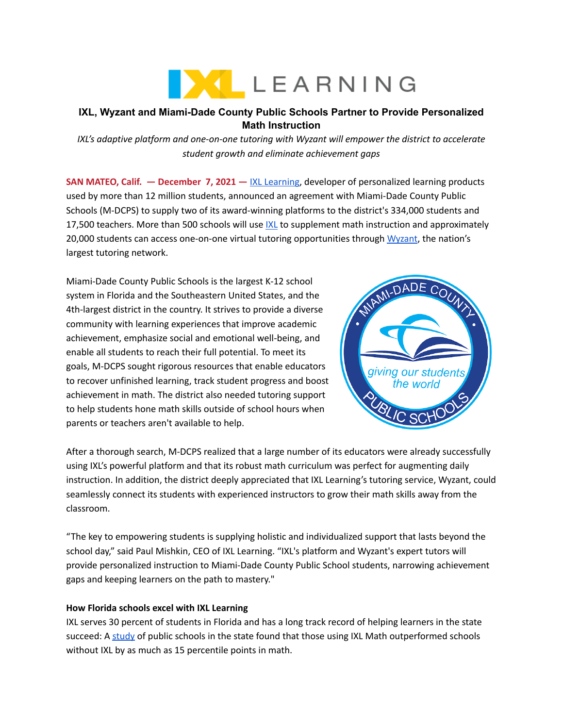

# **IXL, Wyzant and Miami-Dade County Public Schools Partner to Provide Personalized Math Instruction**

*IXL's adaptive platform and one-on-one tutoring with Wyzant will empower the district to accelerate student growth and eliminate achievement gaps*

**SAN MATEO, Calif. — December 7, 2021 —** IXL [Learning,](https://www.ixl.com/company) developer of personalized learning products used by more than 12 million students, announced an agreement with Miami-Dade County Public Schools (M-DCPS) to supply two of its award-winning platforms to the district's 334,000 students and 17,500 teachers. More than 500 schools will use [IXL](https://www.ixl.com/) to supplement math instruction and approximately 20,000 students can access one-on-one virtual tutoring opportunities through [Wyzant](https://www.wyzant.com/), the nation's largest tutoring network.

Miami-Dade County Public Schools is the largest K-12 school system in Florida and the Southeastern United States, and the 4th-largest district in the country. It strives to provide a diverse community with learning experiences that improve academic achievement, emphasize social and emotional well-being, and enable all students to reach their full potential. To meet its goals, M-DCPS sought rigorous resources that enable educators to recover unfinished learning, track student progress and boost achievement in math. The district also needed tutoring support to help students hone math skills outside of school hours when parents or teachers aren't available to help.



After a thorough search, M-DCPS realized that a large number of its educators were already successfully using IXL's powerful platform and that its robust math curriculum was perfect for augmenting daily instruction. In addition, the district deeply appreciated that IXL Learning's tutoring service, Wyzant, could seamlessly connect its students with experienced instructors to grow their math skills away from the classroom.

"The key to empowering students is supplying holistic and individualized support that lasts beyond the school day," said Paul Mishkin, CEO of IXL Learning. "IXL's platform and Wyzant's expert tutors will provide personalized instruction to Miami-Dade County Public School students, narrowing achievement gaps and keeping learners on the path to mastery."

## **How Florida schools excel with IXL Learning**

IXL serves 30 percent of students in Florida and has a long track record of helping learners in the state succeed: A [study](https://www.ixl.com/research/Impact-of-IXL-in-Florida.pdf) of public schools in the state found that those using IXL Math outperformed schools without IXL by as much as 15 percentile points in math.